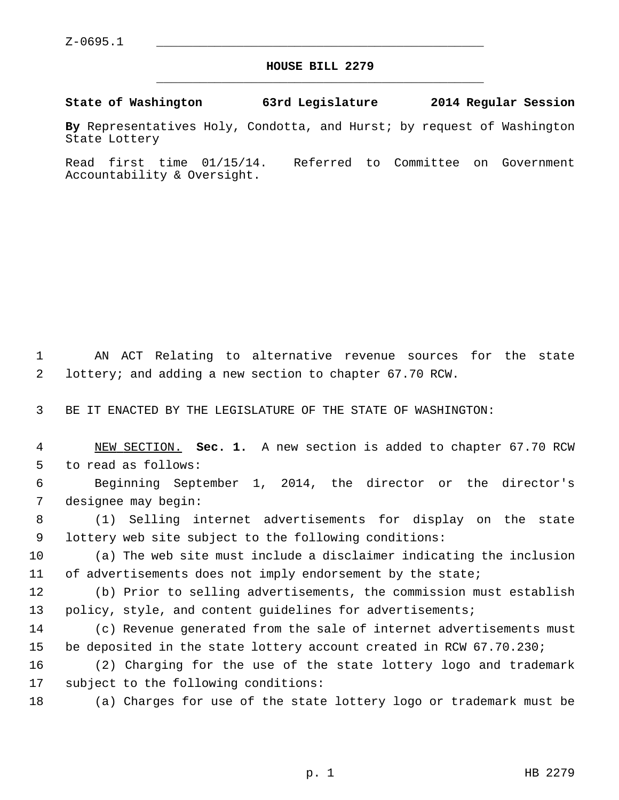$Z-0695.1$ 

## **HOUSE BILL 2279** \_\_\_\_\_\_\_\_\_\_\_\_\_\_\_\_\_\_\_\_\_\_\_\_\_\_\_\_\_\_\_\_\_\_\_\_\_\_\_\_\_\_\_\_\_

**State of Washington 63rd Legislature 2014 Regular Session**

**By** Representatives Holy, Condotta, and Hurst; by request of Washington State Lottery

Read first time 01/15/14. Referred to Committee on Government Accountability & Oversight.

 1 AN ACT Relating to alternative revenue sources for the state 2 lottery; and adding a new section to chapter 67.70 RCW.

3 BE IT ENACTED BY THE LEGISLATURE OF THE STATE OF WASHINGTON:

| NEW SECTION. Sec. 1. A new section is added to chapter 67.70 RCW |  |  |  |  |  |
|------------------------------------------------------------------|--|--|--|--|--|
| 5 to read as follows:                                            |  |  |  |  |  |

 6 Beginning September 1, 2014, the director or the director's 7 designee may begin:

 8 (1) Selling internet advertisements for display on the state 9 lottery web site subject to the following conditions:

10 (a) The web site must include a disclaimer indicating the inclusion 11 of advertisements does not imply endorsement by the state;

12 (b) Prior to selling advertisements, the commission must establish 13 policy, style, and content guidelines for advertisements;

14 (c) Revenue generated from the sale of internet advertisements must 15 be deposited in the state lottery account created in RCW 67.70.230;

16 (2) Charging for the use of the state lottery logo and trademark 17 subject to the following conditions:

18 (a) Charges for use of the state lottery logo or trademark must be